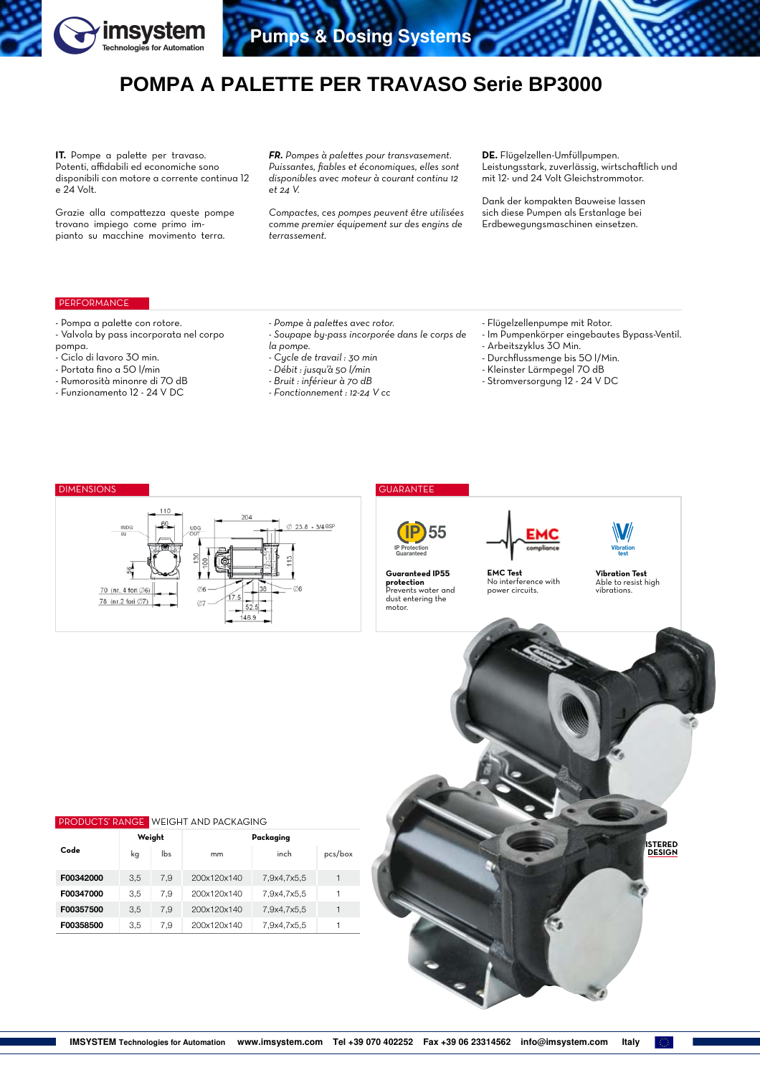

# **POMPA A PALETTE PER TRAVASO Serie BP3000**

**IT.** Pompe a palette per travaso. Potenti, affidabili ed economiche sono disponibili con motore a corrente continua 12 e 24 Volt.

Grazie alla compattezza queste pompe trovano impiego come primo impianto su macchine movimento terra.

*FR. Pompes à palettes pour transvasement. Puissantes, fiables et économiques, elles sont disponibles avec moteur à courant continu 12 et 24 V.* 

*Compactes, ces pompes peuvent être utilisées comme premier équipement sur des engins de terrassement.*

**DE.** Flügelzellen-Umfüllpumpen. Leistungsstark, zuverlässig, wirtschaftlich und mit 12- und 24 Volt Gleichstrommotor.

Dank der kompakten Bauweise lassen sich diese Pumpen als Erstanlage bei Erdbewegungsmaschinen einsetzen.

# PERFORMANCE

- Pompa a palette con rotore.
- Valvola by pass incorporata nel corpo pompa.
- Ciclo di lavoro 30 min.
- Portata fino a 50 l/min
- Rumorosità minonre di 70 dB
- Funzionamento 12 24 V DC
- *Soupape by-pass incorporée dans le corps de*
- *la pompe.*
- *Cycle de travail : 30 min*
- *Débit : jusqu'à 50 l/min*

*- Pompe à palettes avec rotor.*

- *Bruit : inférieur à 70 dB*
- *Fonctionnement : 12-24 V cc*
	-
- Flügelzellenpumpe mit Rotor.
- Im Pumpenkörper eingebautes Bypass-Ventil.
- Arbeitszyklus 30 Min.
- Durchflussmenge bis 50 l/Min.
- Kleinster Lärmpegel 70 dB
- Stromversorgung 12 24 V DC

## DIMENSIONS GUARANTEE



**protection** Prevents water and





No interference with power circuits.

**Vibration Test** Able to resist high vibrations.

Vibration test V

| <b>PRODUCTS' RANGE WEIGHT AND PACKAGING</b> |        |     |             |             |         |  |  |  |  |  |  |
|---------------------------------------------|--------|-----|-------------|-------------|---------|--|--|--|--|--|--|
| Code                                        | Weight |     | Packaging   |             |         |  |  |  |  |  |  |
|                                             | kq     | lbs | mm          | inch        | pcs/box |  |  |  |  |  |  |
| F00342000                                   | 3.5    | 7.9 | 200x120x140 | 7,9x4,7x5,5 |         |  |  |  |  |  |  |
| F00347000                                   | 3.5    | 7.9 | 200x120x140 | 7.9x4.7x5.5 |         |  |  |  |  |  |  |
| F00357500                                   | 3.5    | 7.9 | 200x120x140 | 7,9x4,7x5,5 |         |  |  |  |  |  |  |
| F00358500                                   | 3.5    | 7,9 | 200x120x140 | 7.9x4.7x5.5 |         |  |  |  |  |  |  |